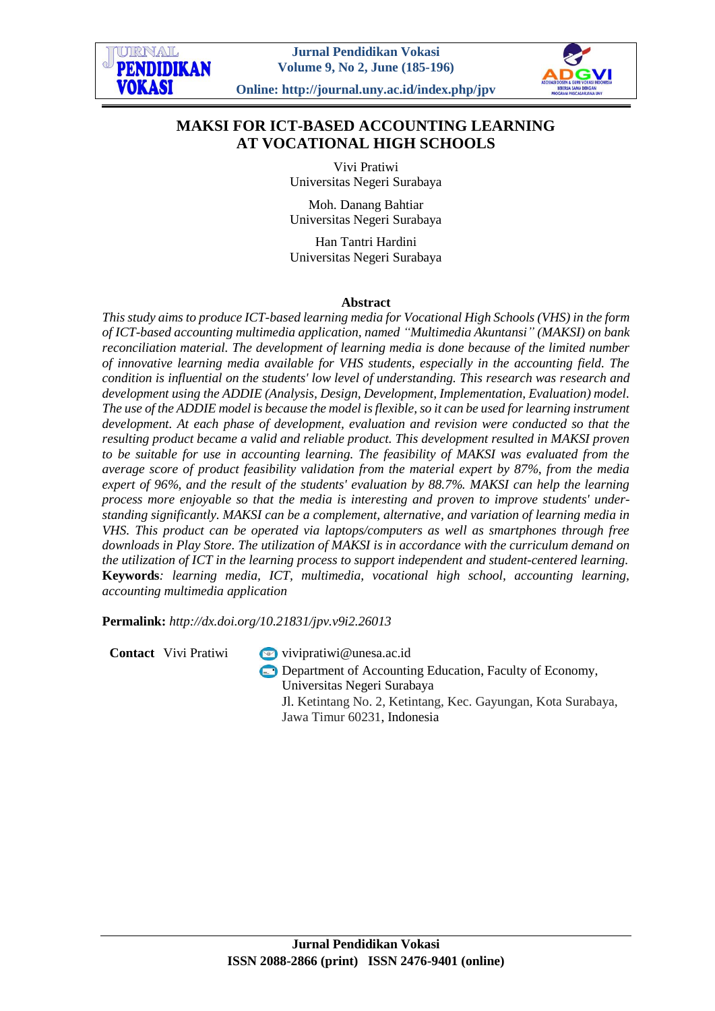



**Online: http://journal.uny.ac.id/index.php/jpv**

# **MAKSI FOR ICT-BASED ACCOUNTING LEARNING AT VOCATIONAL HIGH SCHOOLS**

Vivi Pratiwi Universitas Negeri Surabaya

Moh. Danang Bahtiar Universitas Negeri Surabaya

Han Tantri Hardini Universitas Negeri Surabaya

## **Abstract**

*This study aims to produce ICT-based learning media for Vocational High Schools (VHS) in the form of ICT-based accounting multimedia application, named "Multimedia Akuntansi" (MAKSI) on bank reconciliation material. The development of learning media is done because of the limited number of innovative learning media available for VHS students, especially in the accounting field. The condition is influential on the students' low level of understanding. This research was research and development using the ADDIE (Analysis, Design, Development, Implementation, Evaluation) model. The use of the ADDIE model is because the model is flexible, so it can be used for learning instrument development. At each phase of development, evaluation and revision were conducted so that the resulting product became a valid and reliable product. This development resulted in MAKSI proven to be suitable for use in accounting learning. The feasibility of MAKSI was evaluated from the average score of product feasibility validation from the material expert by 87%, from the media expert of 96%, and the result of the students' evaluation by 88.7%. MAKSI can help the learning process more enjoyable so that the media is interesting and proven to improve students' understanding significantly. MAKSI can be a complement, alternative, and variation of learning media in VHS. This product can be operated via laptops/computers as well as smartphones through free downloads in Play Store. The utilization of MAKSI is in accordance with the curriculum demand on the utilization of ICT in the learning process to support independent and student-centered learning.* **Keywords***: learning media, ICT, multimedia, vocational high school, accounting learning, accounting multimedia application*

**Permalink:** *http://dx.doi.org[/10.21831/jpv.v9i2.26013](http://dx.doi.org/10.21831/jpv.v9i2.26013)*

**Contact** Vivi Pratiwi vivipratiwi@unesa.ac.id

**C** Department of Accounting Education, Faculty of Economy, Universitas Negeri Surabaya Jl. Ketintang No. 2, Ketintang, Kec. Gayungan, Kota Surabaya,

Jawa Timur 60231, Indonesia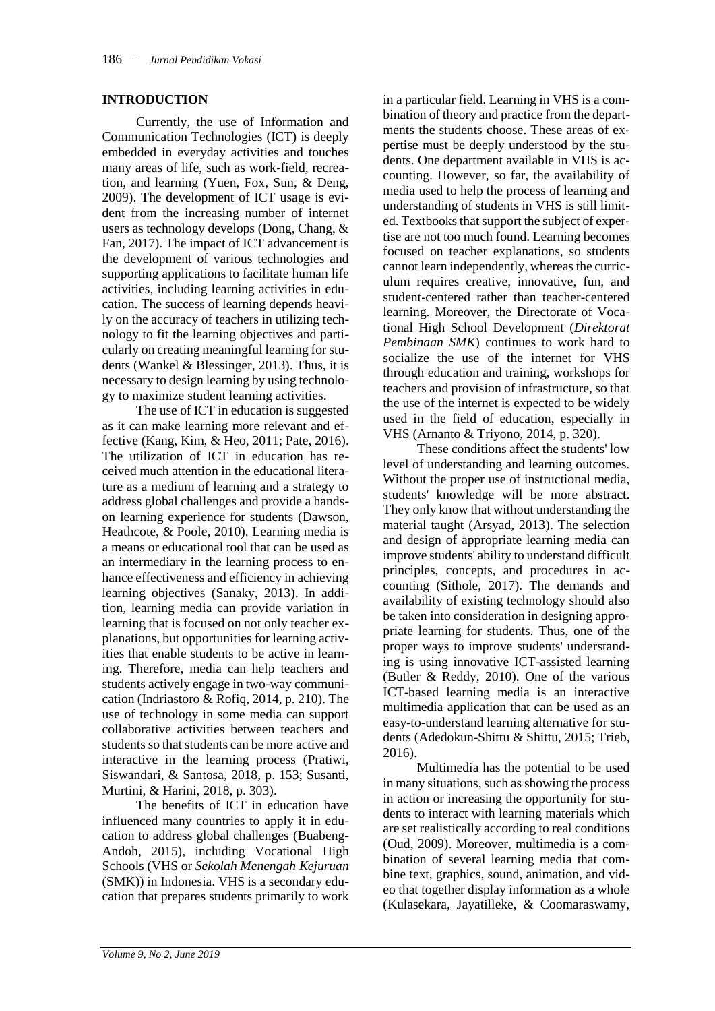## **INTRODUCTION**

Currently, the use of Information and Communication Technologies (ICT) is deeply embedded in everyday activities and touches many areas of life, such as work-field, recreation, and learning (Yuen, Fox, Sun, & Deng, 2009). The development of ICT usage is evident from the increasing number of internet users as technology develops (Dong, Chang, & Fan, 2017). The impact of ICT advancement is the development of various technologies and supporting applications to facilitate human life activities, including learning activities in education. The success of learning depends heavily on the accuracy of teachers in utilizing technology to fit the learning objectives and particularly on creating meaningful learning for students (Wankel & Blessinger, 2013). Thus, it is necessary to design learning by using technology to maximize student learning activities.

The use of ICT in education is suggested as it can make learning more relevant and effective (Kang, Kim, & Heo, 2011; Pate, 2016). The utilization of ICT in education has received much attention in the educational literature as a medium of learning and a strategy to address global challenges and provide a handson learning experience for students (Dawson, Heathcote, & Poole, 2010). Learning media is a means or educational tool that can be used as an intermediary in the learning process to enhance effectiveness and efficiency in achieving learning objectives (Sanaky, 2013). In addition, learning media can provide variation in learning that is focused on not only teacher explanations, but opportunities for learning activities that enable students to be active in learning. Therefore, media can help teachers and students actively engage in two-way communication (Indriastoro & Rofiq, 2014, p. 210). The use of technology in some media can support collaborative activities between teachers and students so that students can be more active and interactive in the learning process (Pratiwi, Siswandari, & Santosa, 2018, p. 153; Susanti, Murtini, & Harini, 2018, p. 303).

The benefits of ICT in education have influenced many countries to apply it in education to address global challenges (Buabeng-Andoh, 2015), including Vocational High Schools (VHS or *Sekolah Menengah Kejuruan* (SMK)) in Indonesia. VHS is a secondary education that prepares students primarily to work

in a particular field. Learning in VHS is a combination of theory and practice from the departments the students choose. These areas of expertise must be deeply understood by the students. One department available in VHS is accounting. However, so far, the availability of media used to help the process of learning and understanding of students in VHS is still limited. Textbooks that support the subject of expertise are not too much found. Learning becomes focused on teacher explanations, so students cannot learn independently, whereas the curriculum requires creative, innovative, fun, and student-centered rather than teacher-centered learning. Moreover, the Directorate of Vocational High School Development (*Direktorat Pembinaan SMK*) continues to work hard to socialize the use of the internet for VHS through education and training, workshops for teachers and provision of infrastructure, so that the use of the internet is expected to be widely used in the field of education, especially in VHS (Arnanto & Triyono, 2014, p. 320).

These conditions affect the students' low level of understanding and learning outcomes. Without the proper use of instructional media, students' knowledge will be more abstract. They only know that without understanding the material taught (Arsyad, 2013). The selection and design of appropriate learning media can improve students' ability to understand difficult principles, concepts, and procedures in accounting (Sithole, 2017). The demands and availability of existing technology should also be taken into consideration in designing appropriate learning for students. Thus, one of the proper ways to improve students' understanding is using innovative ICT-assisted learning (Butler & Reddy, 2010). One of the various ICT-based learning media is an interactive multimedia application that can be used as an easy-to-understand learning alternative for students (Adedokun-Shittu & Shittu, 2015; Trieb, 2016).

Multimedia has the potential to be used in many situations, such as showing the process in action or increasing the opportunity for students to interact with learning materials which are set realistically according to real conditions (Oud, 2009). Moreover, multimedia is a combination of several learning media that combine text, graphics, sound, animation, and video that together display information as a whole (Kulasekara, Jayatilleke, & Coomaraswamy,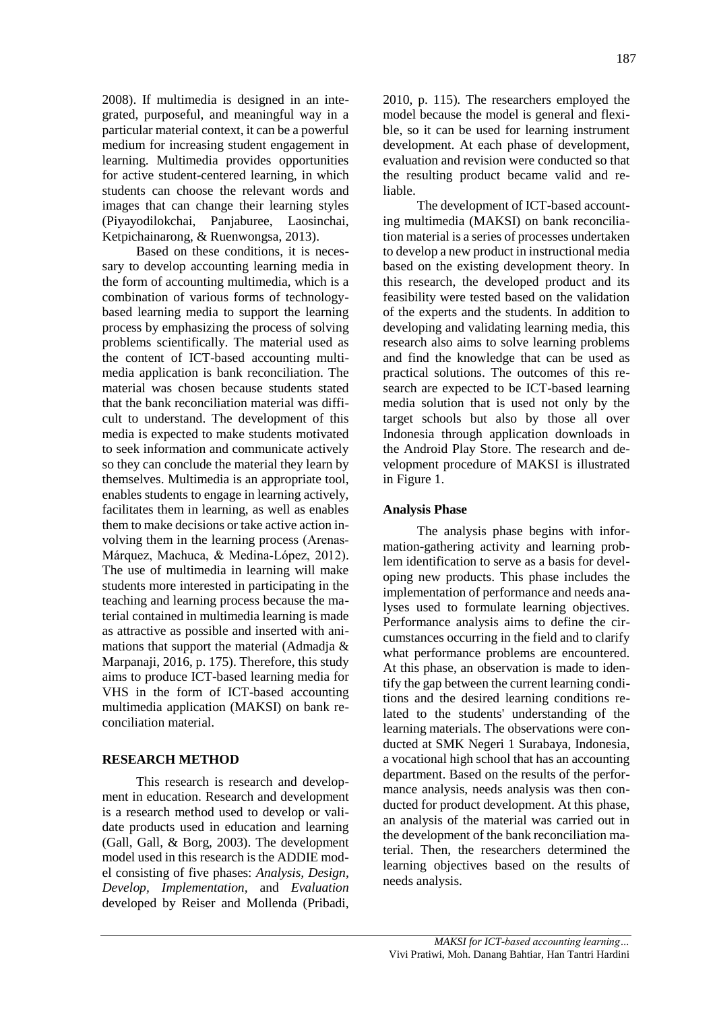2008). If multimedia is designed in an integrated, purposeful, and meaningful way in a particular material context, it can be a powerful medium for increasing student engagement in learning. Multimedia provides opportunities for active student-centered learning, in which students can choose the relevant words and images that can change their learning styles (Piyayodilokchai, Panjaburee, Laosinchai, Ketpichainarong, & Ruenwongsa, 2013).

Based on these conditions, it is necessary to develop accounting learning media in the form of accounting multimedia, which is a combination of various forms of technologybased learning media to support the learning process by emphasizing the process of solving problems scientifically. The material used as the content of ICT-based accounting multimedia application is bank reconciliation. The material was chosen because students stated that the bank reconciliation material was difficult to understand. The development of this media is expected to make students motivated to seek information and communicate actively so they can conclude the material they learn by themselves. Multimedia is an appropriate tool, enables students to engage in learning actively, facilitates them in learning, as well as enables them to make decisions or take active action involving them in the learning process (Arenas‐ Márquez, Machuca, & Medina‐López, 2012). The use of multimedia in learning will make students more interested in participating in the teaching and learning process because the material contained in multimedia learning is made as attractive as possible and inserted with animations that support the material (Admadja & Marpanaji, 2016, p. 175). Therefore, this study aims to produce ICT-based learning media for VHS in the form of ICT-based accounting multimedia application (MAKSI) on bank reconciliation material.

# **RESEARCH METHOD**

This research is research and development in education. Research and development is a research method used to develop or validate products used in education and learning (Gall, Gall, & Borg, 2003). The development model used in this research is the ADDIE model consisting of five phases: *Analysis, Design, Develop, Implementation,* and *Evaluation*  developed by Reiser and Mollenda (Pribadi,

2010, p. 115)*.* The researchers employed the model because the model is general and flexible, so it can be used for learning instrument development. At each phase of development, evaluation and revision were conducted so that the resulting product became valid and reliable.

The development of ICT-based accounting multimedia (MAKSI) on bank reconciliation material is a series of processes undertaken to develop a new product in instructional media based on the existing development theory. In this research, the developed product and its feasibility were tested based on the validation of the experts and the students. In addition to developing and validating learning media, this research also aims to solve learning problems and find the knowledge that can be used as practical solutions. The outcomes of this research are expected to be ICT-based learning media solution that is used not only by the target schools but also by those all over Indonesia through application downloads in the Android Play Store. The research and development procedure of MAKSI is illustrated in Figure 1.

## **Analysis Phase**

The analysis phase begins with information-gathering activity and learning problem identification to serve as a basis for developing new products. This phase includes the implementation of performance and needs analyses used to formulate learning objectives. Performance analysis aims to define the circumstances occurring in the field and to clarify what performance problems are encountered. At this phase, an observation is made to identify the gap between the current learning conditions and the desired learning conditions related to the students' understanding of the learning materials. The observations were conducted at SMK Negeri 1 Surabaya, Indonesia, a vocational high school that has an accounting department. Based on the results of the performance analysis, needs analysis was then conducted for product development. At this phase, an analysis of the material was carried out in the development of the bank reconciliation material. Then, the researchers determined the learning objectives based on the results of needs analysis.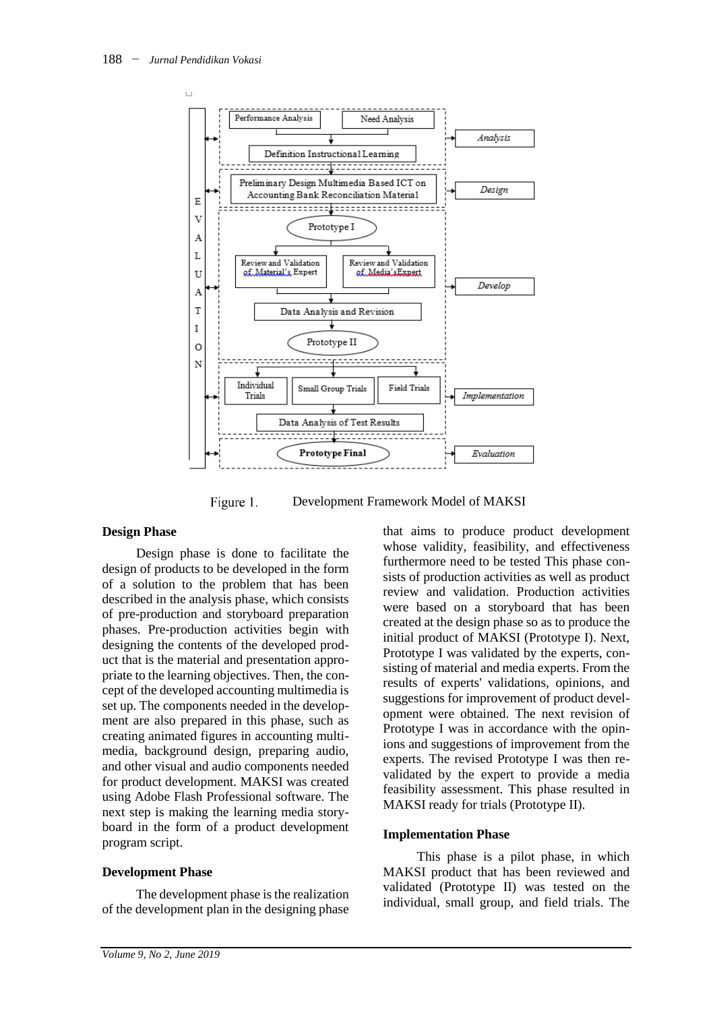

Figure 1. Development Framework Model of MAKSI

## **Design Phase**

Design phase is done to facilitate the design of products to be developed in the form of a solution to the problem that has been described in the analysis phase, which consists of pre-production and storyboard preparation phases. Pre-production activities begin with designing the contents of the developed product that is the material and presentation appropriate to the learning objectives. Then, the concept of the developed accounting multimedia is set up. The components needed in the development are also prepared in this phase, such as creating animated figures in accounting multimedia, background design, preparing audio, and other visual and audio components needed for product development. MAKSI was created using Adobe Flash Professional software. The next step is making the learning media storyboard in the form of a product development program script.

## **Development Phase**

The development phase is the realization of the development plan in the designing phase

that aims to produce product development whose validity, feasibility, and effectiveness furthermore need to be tested This phase consists of production activities as well as product review and validation. Production activities were based on a storyboard that has been created at the design phase so as to produce the initial product of MAKSI (Prototype I). Next, Prototype I was validated by the experts, consisting of material and media experts. From the results of experts' validations, opinions, and suggestions for improvement of product development were obtained. The next revision of Prototype I was in accordance with the opinions and suggestions of improvement from the experts. The revised Prototype I was then revalidated by the expert to provide a media feasibility assessment. This phase resulted in MAKSI ready for trials (Prototype II).

## **Implementation Phase**

This phase is a pilot phase, in which MAKSI product that has been reviewed and validated (Prototype II) was tested on the individual, small group, and field trials. The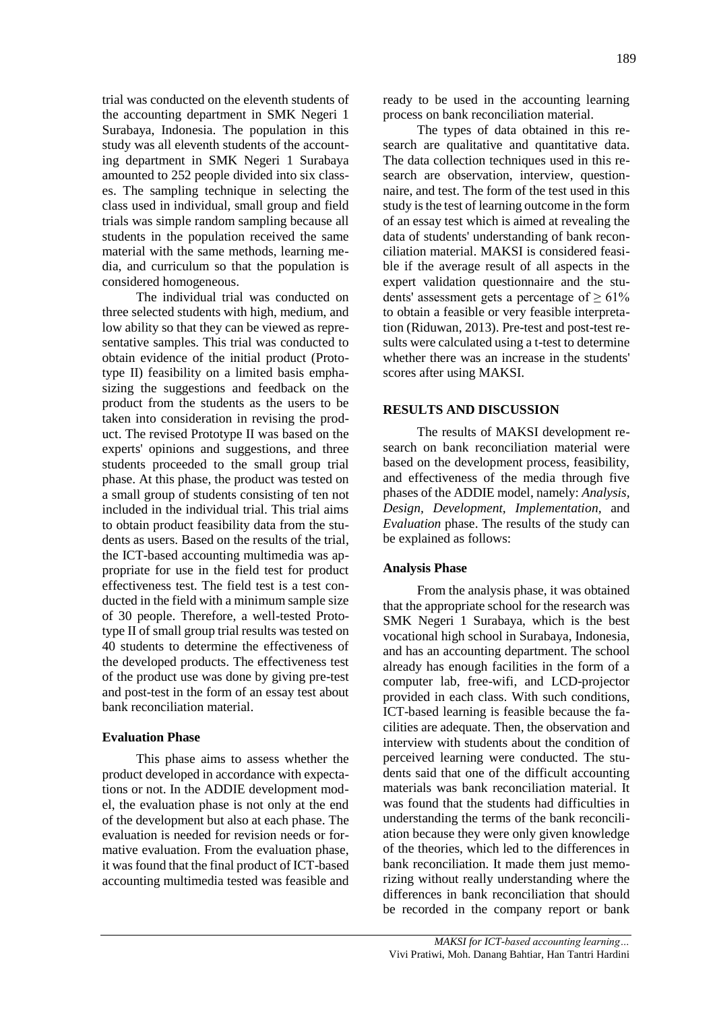trial was conducted on the eleventh students of the accounting department in SMK Negeri 1 Surabaya, Indonesia. The population in this study was all eleventh students of the accounting department in SMK Negeri 1 Surabaya amounted to 252 people divided into six classes. The sampling technique in selecting the class used in individual, small group and field trials was simple random sampling because all students in the population received the same material with the same methods, learning media, and curriculum so that the population is considered homogeneous.

The individual trial was conducted on three selected students with high, medium, and low ability so that they can be viewed as representative samples. This trial was conducted to obtain evidence of the initial product (Prototype II) feasibility on a limited basis emphasizing the suggestions and feedback on the product from the students as the users to be taken into consideration in revising the product. The revised Prototype II was based on the experts' opinions and suggestions, and three students proceeded to the small group trial phase. At this phase, the product was tested on a small group of students consisting of ten not included in the individual trial. This trial aims to obtain product feasibility data from the students as users. Based on the results of the trial, the ICT-based accounting multimedia was appropriate for use in the field test for product effectiveness test. The field test is a test conducted in the field with a minimum sample size of 30 people. Therefore, a well-tested Prototype II of small group trial results was tested on 40 students to determine the effectiveness of the developed products. The effectiveness test of the product use was done by giving pre-test and post-test in the form of an essay test about bank reconciliation material.

## **Evaluation Phase**

This phase aims to assess whether the product developed in accordance with expectations or not. In the ADDIE development model, the evaluation phase is not only at the end of the development but also at each phase. The evaluation is needed for revision needs or formative evaluation. From the evaluation phase, it was found that the final product of ICT-based accounting multimedia tested was feasible and

ready to be used in the accounting learning process on bank reconciliation material.

The types of data obtained in this research are qualitative and quantitative data. The data collection techniques used in this research are observation, interview, questionnaire, and test. The form of the test used in this study is the test of learning outcome in the form of an essay test which is aimed at revealing the data of students' understanding of bank reconciliation material. MAKSI is considered feasible if the average result of all aspects in the expert validation questionnaire and the students' assessment gets a percentage of  $\geq 61\%$ to obtain a feasible or very feasible interpretation (Riduwan, 2013). Pre-test and post-test results were calculated using a t-test to determine whether there was an increase in the students' scores after using MAKSI.

#### **RESULTS AND DISCUSSION**

The results of MAKSI development research on bank reconciliation material were based on the development process, feasibility, and effectiveness of the media through five phases of the ADDIE model, namely: *Analysis, Design, Development, Implementation,* and *Evaluation* phase. The results of the study can be explained as follows:

#### **Analysis Phase**

From the analysis phase, it was obtained that the appropriate school for the research was SMK Negeri 1 Surabaya, which is the best vocational high school in Surabaya, Indonesia, and has an accounting department. The school already has enough facilities in the form of a computer lab, free-wifi, and LCD-projector provided in each class. With such conditions, ICT-based learning is feasible because the facilities are adequate. Then, the observation and interview with students about the condition of perceived learning were conducted. The students said that one of the difficult accounting materials was bank reconciliation material. It was found that the students had difficulties in understanding the terms of the bank reconciliation because they were only given knowledge of the theories, which led to the differences in bank reconciliation. It made them just memorizing without really understanding where the differences in bank reconciliation that should be recorded in the company report or bank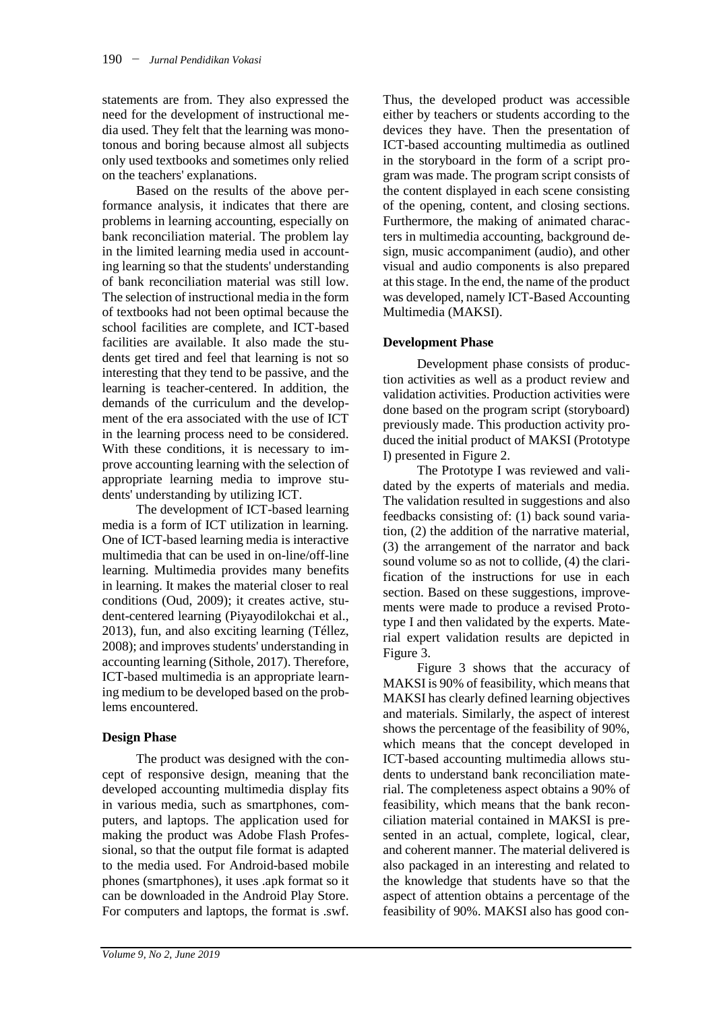statements are from. They also expressed the need for the development of instructional media used. They felt that the learning was monotonous and boring because almost all subjects only used textbooks and sometimes only relied on the teachers' explanations.

Based on the results of the above performance analysis, it indicates that there are problems in learning accounting, especially on bank reconciliation material. The problem lay in the limited learning media used in accounting learning so that the students' understanding of bank reconciliation material was still low. The selection of instructional media in the form of textbooks had not been optimal because the school facilities are complete, and ICT-based facilities are available. It also made the students get tired and feel that learning is not so interesting that they tend to be passive, and the learning is teacher-centered. In addition, the demands of the curriculum and the development of the era associated with the use of ICT in the learning process need to be considered. With these conditions, it is necessary to improve accounting learning with the selection of appropriate learning media to improve students' understanding by utilizing ICT.

The development of ICT-based learning media is a form of ICT utilization in learning. One of ICT-based learning media is interactive multimedia that can be used in on-line/off-line learning. Multimedia provides many benefits in learning. It makes the material closer to real conditions (Oud, 2009); it creates active, student-centered learning (Piyayodilokchai et al., 2013), fun, and also exciting learning (Téllez, 2008); and improves students' understanding in accounting learning (Sithole, 2017). Therefore, ICT-based multimedia is an appropriate learning medium to be developed based on the problems encountered.

# **Design Phase**

The product was designed with the concept of responsive design, meaning that the developed accounting multimedia display fits in various media, such as smartphones, computers, and laptops. The application used for making the product was Adobe Flash Professional, so that the output file format is adapted to the media used. For Android-based mobile phones (smartphones), it uses .apk format so it can be downloaded in the Android Play Store. For computers and laptops, the format is .swf.

Thus, the developed product was accessible either by teachers or students according to the devices they have. Then the presentation of ICT-based accounting multimedia as outlined in the storyboard in the form of a script program was made. The program script consists of the content displayed in each scene consisting of the opening, content, and closing sections. Furthermore, the making of animated characters in multimedia accounting, background design, music accompaniment (audio), and other visual and audio components is also prepared at this stage. In the end, the name of the product was developed, namely ICT-Based Accounting Multimedia (MAKSI).

# **Development Phase**

Development phase consists of production activities as well as a product review and validation activities. Production activities were done based on the program script (storyboard) previously made. This production activity produced the initial product of MAKSI (Prototype I) presented in Figure 2.

The Prototype I was reviewed and validated by the experts of materials and media. The validation resulted in suggestions and also feedbacks consisting of: (1) back sound variation, (2) the addition of the narrative material, (3) the arrangement of the narrator and back sound volume so as not to collide, (4) the clarification of the instructions for use in each section. Based on these suggestions, improvements were made to produce a revised Prototype I and then validated by the experts. Material expert validation results are depicted in Figure 3.

Figure 3 shows that the accuracy of MAKSI is 90% of feasibility, which means that MAKSI has clearly defined learning objectives and materials. Similarly, the aspect of interest shows the percentage of the feasibility of 90%, which means that the concept developed in ICT-based accounting multimedia allows students to understand bank reconciliation material. The completeness aspect obtains a 90% of feasibility, which means that the bank reconciliation material contained in MAKSI is presented in an actual, complete, logical, clear, and coherent manner. The material delivered is also packaged in an interesting and related to the knowledge that students have so that the aspect of attention obtains a percentage of the feasibility of 90%. MAKSI also has good con-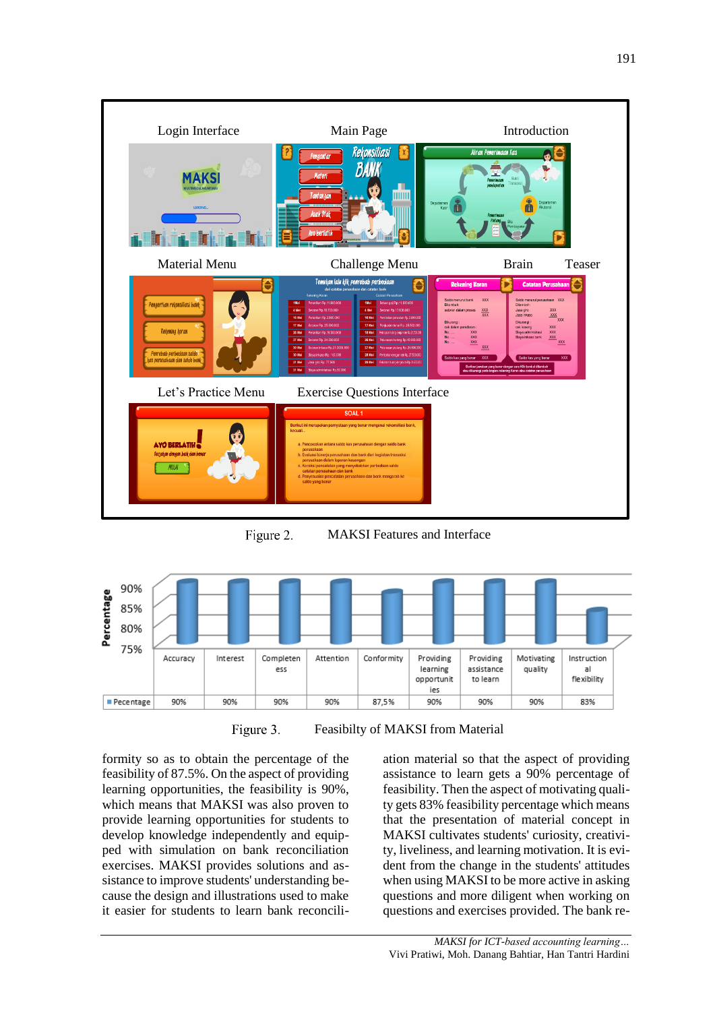

Figure 2. MAKSI Features and Interface



Figure 3. Feasibilty of MAKSI from Material

formity so as to obtain the percentage of the feasibility of 87.5%. On the aspect of providing learning opportunities, the feasibility is 90%, which means that MAKSI was also proven to provide learning opportunities for students to develop knowledge independently and equipped with simulation on bank reconciliation exercises. MAKSI provides solutions and assistance to improve students' understanding because the design and illustrations used to make it easier for students to learn bank reconcili-

ation material so that the aspect of providing assistance to learn gets a 90% percentage of feasibility. Then the aspect of motivating quality gets 83% feasibility percentage which means that the presentation of material concept in MAKSI cultivates students' curiosity, creativity, liveliness, and learning motivation. It is evident from the change in the students' attitudes when using MAKSI to be more active in asking questions and more diligent when working on questions and exercises provided. The bank re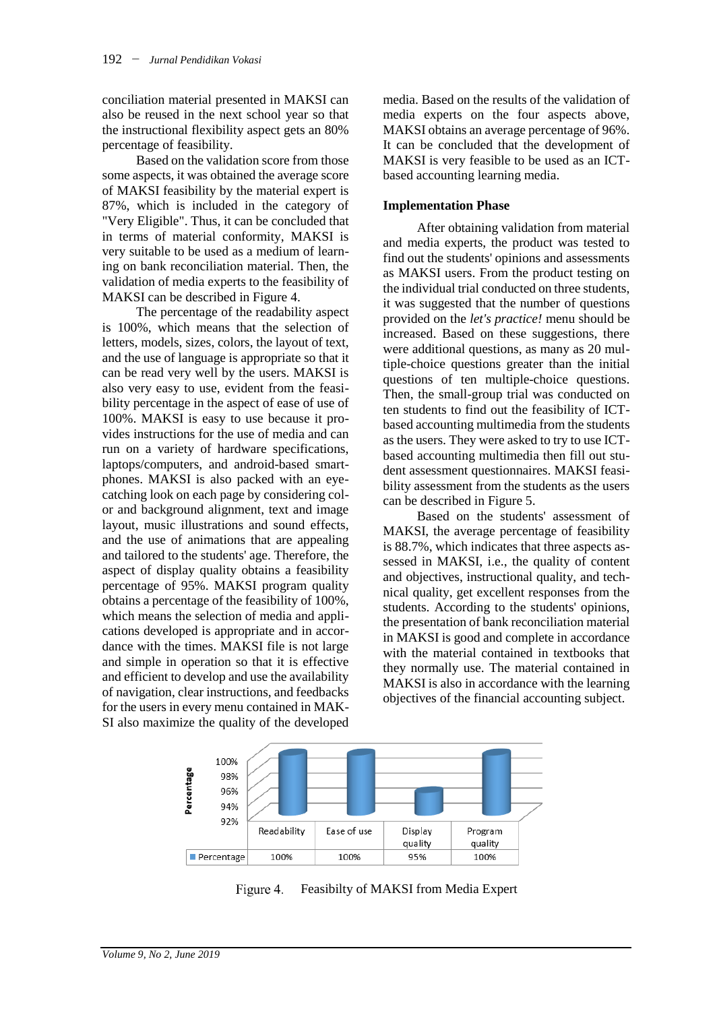conciliation material presented in MAKSI can also be reused in the next school year so that the instructional flexibility aspect gets an 80% percentage of feasibility.

Based on the validation score from those some aspects, it was obtained the average score of MAKSI feasibility by the material expert is 87%, which is included in the category of "Very Eligible". Thus, it can be concluded that in terms of material conformity, MAKSI is very suitable to be used as a medium of learning on bank reconciliation material. Then, the validation of media experts to the feasibility of MAKSI can be described in Figure 4.

The percentage of the readability aspect is 100%, which means that the selection of letters, models, sizes, colors, the layout of text, and the use of language is appropriate so that it can be read very well by the users. MAKSI is also very easy to use, evident from the feasibility percentage in the aspect of ease of use of 100%. MAKSI is easy to use because it provides instructions for the use of media and can run on a variety of hardware specifications, laptops/computers, and android-based smartphones. MAKSI is also packed with an eyecatching look on each page by considering color and background alignment, text and image layout, music illustrations and sound effects, and the use of animations that are appealing and tailored to the students' age. Therefore, the aspect of display quality obtains a feasibility percentage of 95%. MAKSI program quality obtains a percentage of the feasibility of 100%, which means the selection of media and applications developed is appropriate and in accordance with the times. MAKSI file is not large and simple in operation so that it is effective and efficient to develop and use the availability of navigation, clear instructions, and feedbacks for the users in every menu contained in MAK-SI also maximize the quality of the developed

media. Based on the results of the validation of media experts on the four aspects above, MAKSI obtains an average percentage of 96%. It can be concluded that the development of MAKSI is very feasible to be used as an ICTbased accounting learning media.

## **Implementation Phase**

After obtaining validation from material and media experts, the product was tested to find out the students' opinions and assessments as MAKSI users. From the product testing on the individual trial conducted on three students, it was suggested that the number of questions provided on the *let's practice!* menu should be increased. Based on these suggestions, there were additional questions, as many as 20 multiple-choice questions greater than the initial questions of ten multiple-choice questions. Then, the small-group trial was conducted on ten students to find out the feasibility of ICTbased accounting multimedia from the students as the users. They were asked to try to use ICTbased accounting multimedia then fill out student assessment questionnaires. MAKSI feasibility assessment from the students as the users can be described in Figure 5.

Based on the students' assessment of MAKSI, the average percentage of feasibility is 88.7%, which indicates that three aspects assessed in MAKSI, i.e., the quality of content and objectives, instructional quality, and technical quality, get excellent responses from the students. According to the students' opinions, the presentation of bank reconciliation material in MAKSI is good and complete in accordance with the material contained in textbooks that they normally use. The material contained in MAKSI is also in accordance with the learning objectives of the financial accounting subject.



Figure 4. Feasibilty of MAKSI from Media Expert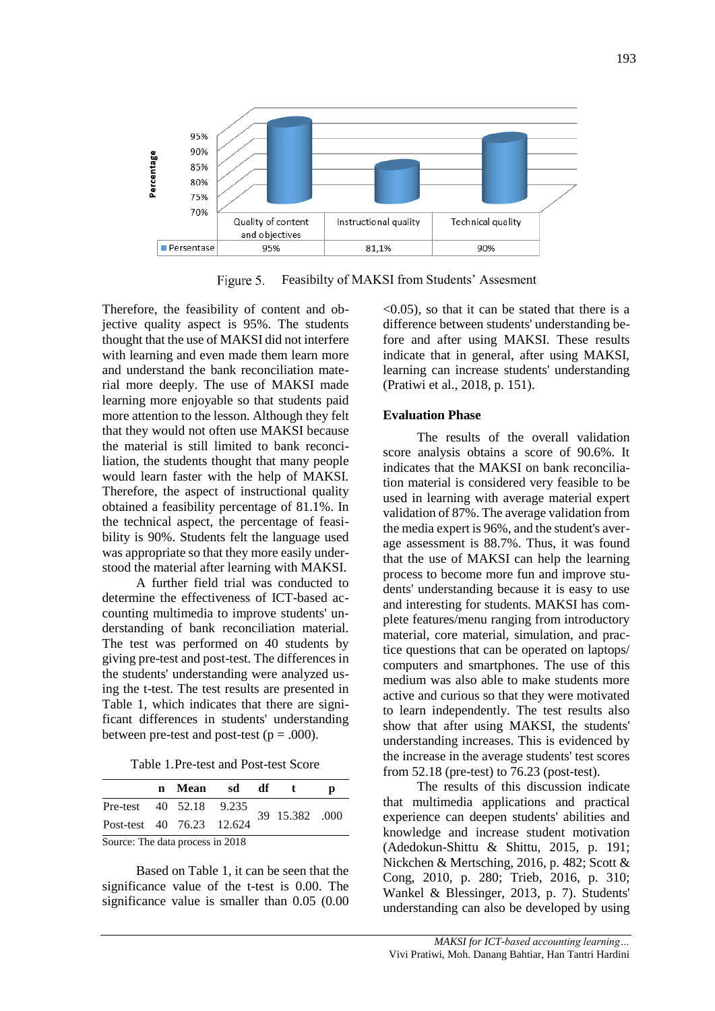

Figure 5. Feasibilty of MAKSI from Students' Assesment

Therefore, the feasibility of content and objective quality aspect is 95%. The students thought that the use of MAKSI did not interfere with learning and even made them learn more and understand the bank reconciliation material more deeply. The use of MAKSI made learning more enjoyable so that students paid more attention to the lesson. Although they felt that they would not often use MAKSI because the material is still limited to bank reconciliation, the students thought that many people would learn faster with the help of MAKSI. Therefore, the aspect of instructional quality obtained a feasibility percentage of 81.1%. In the technical aspect, the percentage of feasibility is 90%. Students felt the language used was appropriate so that they more easily understood the material after learning with MAKSI.

A further field trial was conducted to determine the effectiveness of ICT-based accounting multimedia to improve students' understanding of bank reconciliation material. The test was performed on 40 students by giving pre-test and post-test. The differences in the students' understanding were analyzed using the t-test. The test results are presented in Table 1, which indicates that there are significant differences in students' understanding between pre-test and post-test ( $p = .000$ ).

Table 1.Pre-test and Post-test Score

|                                  |  | n Mean sd df t |                |  |
|----------------------------------|--|----------------|----------------|--|
| Pre-test 40 52.18 9.235          |  |                | 39 15.382 .000 |  |
| Post-test 40 76.23 12.624        |  |                |                |  |
| Source: The data process in 2018 |  |                |                |  |

Based on Table 1, it can be seen that the significance value of the t-test is 0.00. The significance value is smaller than 0.05 (0.00

 $(0.05)$ , so that it can be stated that there is a difference between students' understanding before and after using MAKSI. These results indicate that in general, after using MAKSI, learning can increase students' understanding (Pratiwi et al., 2018, p. 151).

#### **Evaluation Phase**

The results of the overall validation score analysis obtains a score of 90.6%. It indicates that the MAKSI on bank reconciliation material is considered very feasible to be used in learning with average material expert validation of 87%. The average validation from the media expert is 96%, and the student's average assessment is 88.7%. Thus, it was found that the use of MAKSI can help the learning process to become more fun and improve students' understanding because it is easy to use and interesting for students. MAKSI has complete features/menu ranging from introductory material, core material, simulation, and practice questions that can be operated on laptops/ computers and smartphones. The use of this medium was also able to make students more active and curious so that they were motivated to learn independently. The test results also show that after using MAKSI, the students' understanding increases. This is evidenced by the increase in the average students' test scores from 52.18 (pre-test) to 76.23 (post-test).

The results of this discussion indicate that multimedia applications and practical experience can deepen students' abilities and knowledge and increase student motivation (Adedokun-Shittu & Shittu, 2015, p. 191; Nickchen & Mertsching, 2016, p. 482; Scott & Cong, 2010, p. 280; Trieb, 2016, p. 310; Wankel & Blessinger, 2013, p. 7). Students' understanding can also be developed by using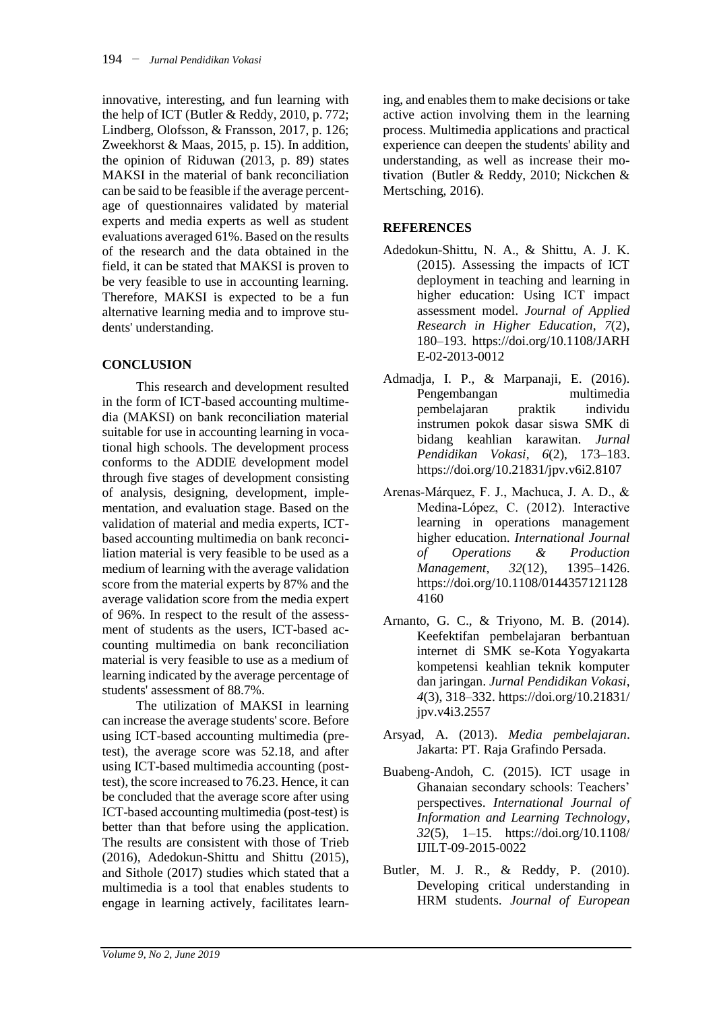innovative, interesting, and fun learning with the help of ICT (Butler & Reddy, 2010, p. 772; Lindberg, Olofsson, & Fransson, 2017, p. 126; Zweekhorst & Maas, 2015, p. 15). In addition, the opinion of Riduwan (2013, p. 89) states MAKSI in the material of bank reconciliation can be said to be feasible if the average percentage of questionnaires validated by material experts and media experts as well as student evaluations averaged 61%. Based on the results of the research and the data obtained in the field, it can be stated that MAKSI is proven to be very feasible to use in accounting learning. Therefore, MAKSI is expected to be a fun alternative learning media and to improve students' understanding.

## **CONCLUSION**

This research and development resulted in the form of ICT-based accounting multimedia (MAKSI) on bank reconciliation material suitable for use in accounting learning in vocational high schools. The development process conforms to the ADDIE development model through five stages of development consisting of analysis, designing, development, implementation, and evaluation stage. Based on the validation of material and media experts, ICTbased accounting multimedia on bank reconciliation material is very feasible to be used as a medium of learning with the average validation score from the material experts by 87% and the average validation score from the media expert of 96%. In respect to the result of the assessment of students as the users, ICT-based accounting multimedia on bank reconciliation material is very feasible to use as a medium of learning indicated by the average percentage of students' assessment of 88.7%.

The utilization of MAKSI in learning can increase the average students' score. Before using ICT-based accounting multimedia (pretest), the average score was 52.18, and after using ICT-based multimedia accounting (posttest), the score increased to 76.23. Hence, it can be concluded that the average score after using ICT-based accounting multimedia (post-test) is better than that before using the application. The results are consistent with those of Trieb (2016), Adedokun-Shittu and Shittu (2015), and Sithole (2017) studies which stated that a multimedia is a tool that enables students to engage in learning actively, facilitates learning, and enables them to make decisions or take active action involving them in the learning process. Multimedia applications and practical experience can deepen the students' ability and understanding, as well as increase their motivation (Butler & Reddy, 2010; Nickchen & Mertsching, 2016).

## **REFERENCES**

- Adedokun-Shittu, N. A., & Shittu, A. J. K. (2015). Assessing the impacts of ICT deployment in teaching and learning in higher education: Using ICT impact assessment model. *Journal of Applied Research in Higher Education*, *7*(2), 180–193. https://doi.org/10.1108/JARH E-02-2013-0012
- Admadja, I. P., & Marpanaji, E. (2016). Pengembangan multimedia pembelajaran praktik individu instrumen pokok dasar siswa SMK di bidang keahlian karawitan. *Jurnal Pendidikan Vokasi*, *6*(2), 173–183. https://doi.org/10.21831/jpv.v6i2.8107
- Arenas‐Márquez, F. J., Machuca, J. A. D., & Medina‐López, C. (2012). Interactive learning in operations management higher education. *International Journal of Operations & Production Management*, *32*(12), 1395–1426. https://doi.org/10.1108/0144357121128 4160
- Arnanto, G. C., & Triyono, M. B. (2014). Keefektifan pembelajaran berbantuan internet di SMK se-Kota Yogyakarta kompetensi keahlian teknik komputer dan jaringan. *Jurnal Pendidikan Vokasi*, *4*(3), 318–332. https://doi.org/10.21831/ jpv.v4i3.2557
- Arsyad, A. (2013). *Media pembelajaran*. Jakarta: PT. Raja Grafindo Persada.
- Buabeng-Andoh, C. (2015). ICT usage in Ghanaian secondary schools: Teachers' perspectives. *International Journal of Information and Learning Technology*, *32*(5), 1–15. https://doi.org/10.1108/ IJILT-09-2015-0022
- Butler, M. J. R., & Reddy, P. (2010). Developing critical understanding in HRM students. *Journal of European*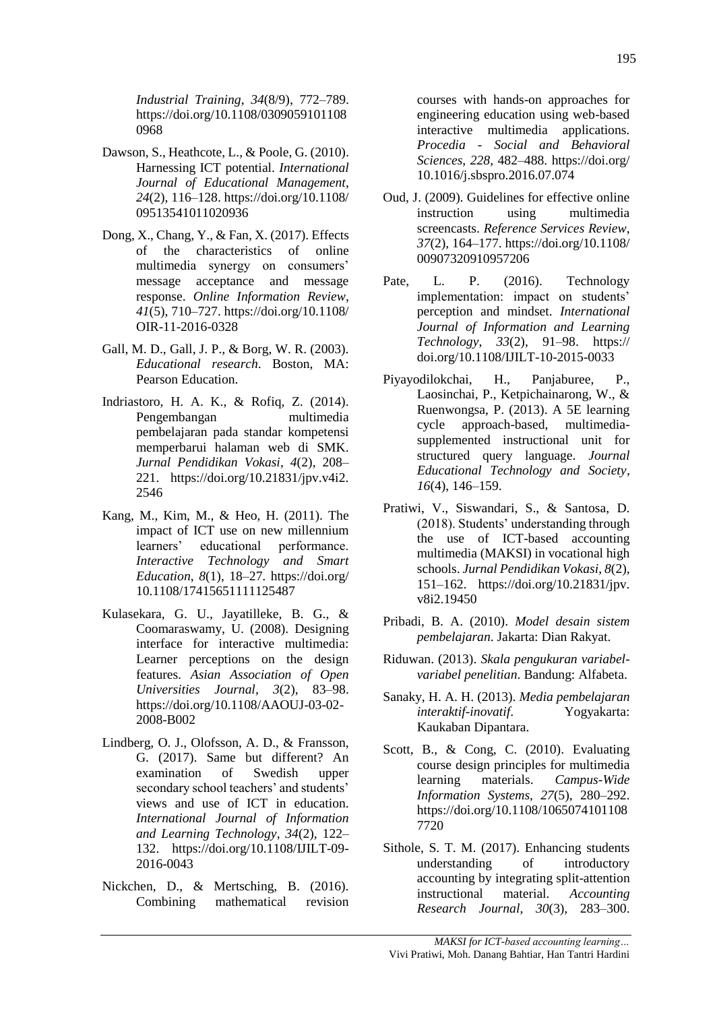*Industrial Training*, *34*(8/9), 772–789. https://doi.org/10.1108/0309059101108 0968

- Dawson, S., Heathcote, L., & Poole, G. (2010). Harnessing ICT potential. *International Journal of Educational Management*, *24*(2), 116–128. https://doi.org/10.1108/ 09513541011020936
- Dong, X., Chang, Y., & Fan, X. (2017). Effects of the characteristics of online multimedia synergy on consumers' message acceptance and message response. *Online Information Review*, *41*(5), 710–727. https://doi.org/10.1108/ OIR-11-2016-0328
- Gall, M. D., Gall, J. P., & Borg, W. R. (2003). *Educational research*. Boston, MA: Pearson Education.
- Indriastoro, H. A. K., & Rofiq, Z. (2014). Pengembangan multimedia pembelajaran pada standar kompetensi memperbarui halaman web di SMK. *Jurnal Pendidikan Vokasi*, *4*(2), 208– 221. https://doi.org/10.21831/jpv.v4i2. 2546
- Kang, M., Kim, M., & Heo, H. (2011). The impact of ICT use on new millennium learners' educational performance. *Interactive Technology and Smart Education*, *8*(1), 18–27. https://doi.org/ 10.1108/17415651111125487
- Kulasekara, G. U., Jayatilleke, B. G., & Coomaraswamy, U. (2008). Designing interface for interactive multimedia: Learner perceptions on the design features. *Asian Association of Open Universities Journal*, *3*(2), 83–98. https://doi.org/10.1108/AAOUJ-03-02- 2008-B002
- Lindberg, O. J., Olofsson, A. D., & Fransson, G. (2017). Same but different? An examination of Swedish upper secondary school teachers' and students' views and use of ICT in education. *International Journal of Information and Learning Technology*, *34*(2), 122– 132. https://doi.org/10.1108/IJILT-09- 2016-0043
- Nickchen, D., & Mertsching, B. (2016). Combining mathematical revision

courses with hands-on approaches for engineering education using web-based interactive multimedia applications. *Procedia - Social and Behavioral Sciences*, *228*, 482–488. https://doi.org/ 10.1016/j.sbspro.2016.07.074

- Oud, J. (2009). Guidelines for effective online instruction using multimedia screencasts. *Reference Services Review*, *37*(2), 164–177. https://doi.org/10.1108/ 00907320910957206
- Pate, L. P. (2016). Technology implementation: impact on students' perception and mindset. *International Journal of Information and Learning Technology*, *33*(2), 91–98. https:// doi.org/10.1108/IJILT-10-2015-0033
- Piyayodilokchai, H., Panjaburee, P., Laosinchai, P., Ketpichainarong, W., & Ruenwongsa, P. (2013). A 5E learning cycle approach-based, multimediasupplemented instructional unit for structured query language. *Journal Educational Technology and Society*, *16*(4), 146–159.
- Pratiwi, V., Siswandari, S., & Santosa, D. (2018). Students' understanding through the use of ICT-based accounting multimedia (MAKSI) in vocational high schools. *Jurnal Pendidikan Vokasi*, *8*(2), 151–162. https://doi.org/10.21831/jpv. v8i2.19450
- Pribadi, B. A. (2010). *Model desain sistem pembelajaran*. Jakarta: Dian Rakyat.
- Riduwan. (2013). *Skala pengukuran variabelvariabel penelitian*. Bandung: Alfabeta.
- Sanaky, H. A. H. (2013). *Media pembelajaran interaktif-inovatif*. Yogyakarta: Kaukaban Dipantara.
- Scott, B., & Cong, C. (2010). Evaluating course design principles for multimedia learning materials. *Campus-Wide Information Systems*, *27*(5), 280–292. https://doi.org/10.1108/1065074101108 7720
- Sithole, S. T. M. (2017). Enhancing students understanding of introductory accounting by integrating split-attention instructional material. *Accounting Research Journal*, *30*(3), 283–300.